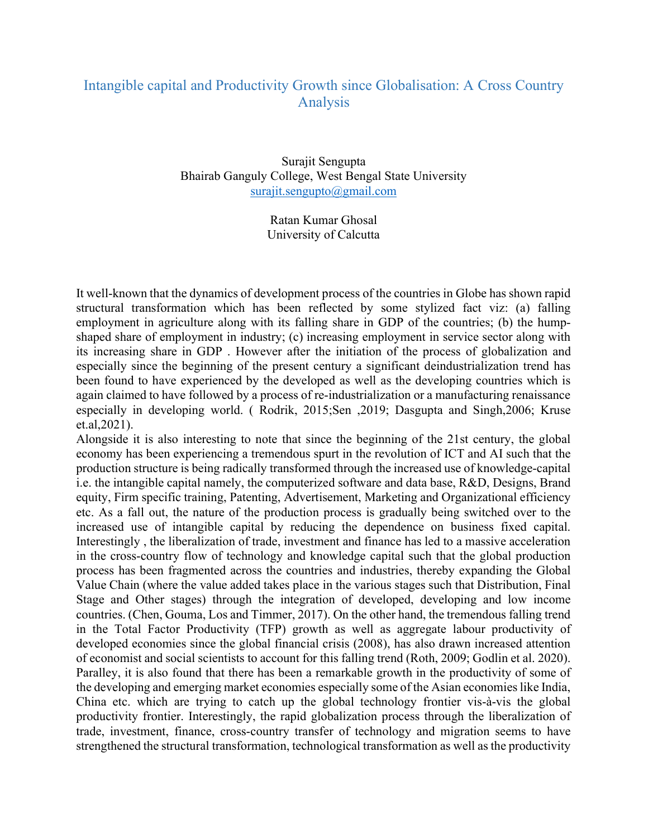## Intangible capital and Productivity Growth since Globalisation: A Cross Country Analysis

Surajit Sengupta Bhairab Ganguly College, West Bengal State University surajit.sengupto@gmail.com

> Ratan Kumar Ghosal University of Calcutta

It well-known that the dynamics of development process of the countries in Globe has shown rapid structural transformation which has been reflected by some stylized fact viz: (a) falling employment in agriculture along with its falling share in GDP of the countries; (b) the humpshaped share of employment in industry; (c) increasing employment in service sector along with its increasing share in GDP . However after the initiation of the process of globalization and especially since the beginning of the present century a significant deindustrialization trend has been found to have experienced by the developed as well as the developing countries which is again claimed to have followed by a process of re-industrialization or a manufacturing renaissance especially in developing world. ( Rodrik, 2015;Sen ,2019; Dasgupta and Singh,2006; Kruse et.al,2021).

Alongside it is also interesting to note that since the beginning of the 21st century, the global economy has been experiencing a tremendous spurt in the revolution of ICT and AI such that the production structure is being radically transformed through the increased use of knowledge-capital i.e. the intangible capital namely, the computerized software and data base, R&D, Designs, Brand equity, Firm specific training, Patenting, Advertisement, Marketing and Organizational efficiency etc. As a fall out, the nature of the production process is gradually being switched over to the increased use of intangible capital by reducing the dependence on business fixed capital. Interestingly , the liberalization of trade, investment and finance has led to a massive acceleration in the cross-country flow of technology and knowledge capital such that the global production process has been fragmented across the countries and industries, thereby expanding the Global Value Chain (where the value added takes place in the various stages such that Distribution, Final Stage and Other stages) through the integration of developed, developing and low income countries. (Chen, Gouma, Los and Timmer, 2017). On the other hand, the tremendous falling trend in the Total Factor Productivity (TFP) growth as well as aggregate labour productivity of developed economies since the global financial crisis (2008), has also drawn increased attention of economist and social scientists to account for this falling trend (Roth, 2009; Godlin et al. 2020). Paralley, it is also found that there has been a remarkable growth in the productivity of some of the developing and emerging market economies especially some of the Asian economies like India, China etc. which are trying to catch up the global technology frontier vis-à-vis the global productivity frontier. Interestingly, the rapid globalization process through the liberalization of trade, investment, finance, cross-country transfer of technology and migration seems to have strengthened the structural transformation, technological transformation as well as the productivity